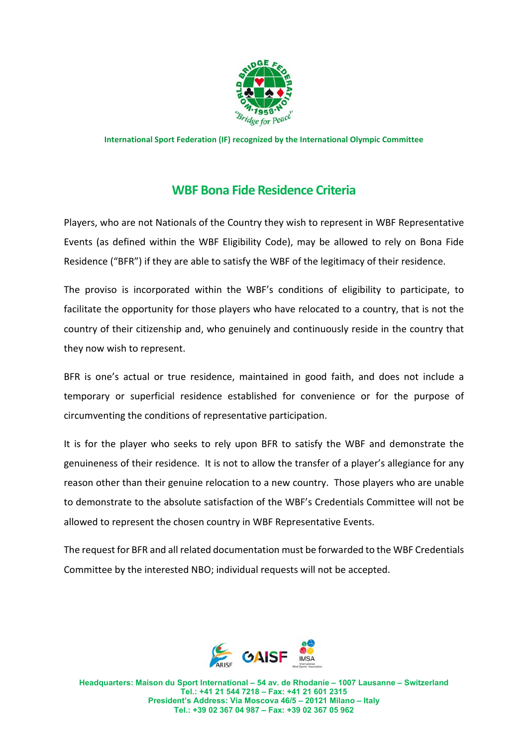

**International Sport Federation (IF) recognized by the International Olympic Committee** 

## **WBF Bona Fide Residence Criteria**

Players, who are not Nationals of the Country they wish to represent in WBF Representative Events (as defined within the WBF Eligibility Code), may be allowed to rely on Bona Fide Residence ("BFR") if they are able to satisfy the WBF of the legitimacy of their residence.

The proviso is incorporated within the WBF's conditions of eligibility to participate, to facilitate the opportunity for those players who have relocated to a country, that is not the country of their citizenship and, who genuinely and continuously reside in the country that they now wish to represent.

BFR is one's actual or true residence, maintained in good faith, and does not include a temporary or superficial residence established for convenience or for the purpose of circumventing the conditions of representative participation.

It is for the player who seeks to rely upon BFR to satisfy the WBF and demonstrate the genuineness of their residence. It is not to allow the transfer of a player's allegiance for any reason other than their genuine relocation to a new country. Those players who are unable to demonstrate to the absolute satisfaction of the WBF's Credentials Committee will not be allowed to represent the chosen country in WBF Representative Events.

The request for BFR and all related documentation must be forwarded to the WBF Credentials Committee by the interested NBO; individual requests will not be accepted.



**Headquarters: Maison du Sport International – 54 av. de Rhodanie – 1007 Lausanne – Switzerland Tel.: +41 21 544 7218 – Fax: +41 21 601 2315 President's Address: Via Moscova 46/5 – 20121 Milano – Italy Tel.: +39 02 367 04 987 – Fax: +39 02 367 05 962**